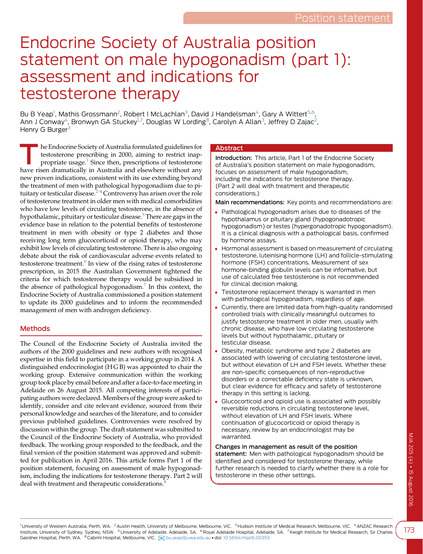# Endocrine Society of Australia position statement on male hypogonadism (part 1): assessment and indications for testosterone therapy

Bu B Yeap<sup>1</sup>, Mathis Grossmann<sup>2</sup>, Robert I McLachlan<sup>3</sup>, David J Handelsman<sup>4</sup>, Gary A Wittert<sup>5,6</sup>, Ann J Conway<sup>4</sup>, Bronwyn GA Stuckey<sup>1,7</sup>, Douglas W Lording<sup>8</sup>, Carolyn A Allan<sup>3</sup>, Jeffrey D Zajac<sup>2</sup>, Henry G Burger<sup>3</sup>

The Endocrine Society of Australia formulated guidelines for<br>
propriate usage.<sup>[1](#page-5-0)</sup> Since then, prescriptions of testosterone<br>
have given demotically in Australia and electrones without any testosterone prescribing in 2000, aiming to restrict inaphave risen dramatically in Australia and elsewhere without any new proven indications, consistent with its use extending beyond the treatment of men with pathological hypogonadism due to pituitary or testicular disease. $2-4$  Controversy has arisen over the role of testosterone treatment in older men with medical comorbidities who have low levels of circulating testosterone, in the absence of hypothalamic, pituitary or testicular disease.<sup>5</sup> There are gaps in the evidence base in relation to the potential benefits of testosterone treatment in men with obesity or type 2 diabetes and those receiving long term glucocorticoid or opioid therapy, who may exhibit low levels of circulating testosterone. There is also ongoing debate about the risk of cardiovascular adverse events related to testosterone treatment.<sup>[6](#page-5-0)</sup> In view of the rising rates of testosterone prescription, in 2015 the Australian Government tightened the criteria for which testosterone therapy would be subsidised in the absence of pathological hypogonadism.<sup>[7](#page-5-0)</sup> In this context, the Endocrine Society of Australia commissioned a position statement to update its 2000 guidelines and to inform the recommended management of men with androgen deficiency.

## Methods

The Council of the Endocrine Society of Australia invited the authors of the 2000 guidelines and new authors with recognised expertise in this field to participate in a working group in 2014. A distinguished endocrinologist (H G B) was appointed to chair the working group. Extensive communication within the working group took place by email before and after a face-to-face meeting in Adelaide on 26 August 2015. All competing interests of participating authors were declared. Members of the group were asked to identify, consider and cite relevant evidence, sourced from their personal knowledge and searches of the literature, and to consider previous published guidelines. Controversies were resolved by discussion within the group. The draft statement was submitted to the Council of the Endocrine Society of Australia, who provided feedback. The working group responded to the feedback, and the final version of the position statement was approved and submitted for publication in April 2016. This article forms Part 1 of the position statement, focusing on assessment of male hypogonadism, including the indications for testosterone therapy. Part 2 will deal with treatment and therapeutic considerations.<sup>[8](#page-5-0)</sup>

## **Abstract**

Introduction: This article, Part 1 of the Endocrine Society of Australia's position statement on male hypogonadism, focuses on assessment of male hypogonadism, including the indications for testosterone therapy. (Part 2 will deal with treatment and therapeutic considerations.)

Main recommendations: Key points and recommendations are:

- Pathological hypogonadism arises due to diseases of the hypothalamus or pituitary gland (hypogonadotropic hypogonadism) or testes (hypergonadotropic hypogonadism). It is a clinical diagnosis with a pathological basis, confirmed by hormone assays.
- Hormonal assessment is based on measurement of circulating testosterone, luteinising hormone (LH) and follicle-stimulating hormone (FSH) concentrations. Measurement of sex hormone-binding globulin levels can be informative, but use of calculated free testosterone is not recommended for clinical decision making.
- Testosterone replacement therapy is warranted in men with pathological hypogonadism, regardless of age.
- Currently, there are limited data from high-quality randomised controlled trials with clinically meaningful outcomes to justify testosterone treatment in older men, usually with chronic disease, who have low circulating testosterone levels but without hypothalamic, pituitary or testicular disease.
- Obesity, metabolic syndrome and type 2 diabetes are associated with lowering of circulating testosterone level, but without elevation of LH and FSH levels. Whether these are non-specific consequences of non-reproductive disorders or a correctable deficiency state is unknown, but clear evidence for efficacy and safety of testosterone therapy in this setting is lacking.
- Glucocorticoid and opioid use is associated with possibly reversible reductions in circulating testosterone level, without elevation of LH and FSH levels. Where continuation of glucocorticoid or opioid therapy is necessary, review by an endocrinologist may be warranted.

Changes in management as result of the position statement: Men with pathological hypogonadism should be identified and considered for testosterone therapy, while further research is needed to clarify whether there is a role for testosterone in these other settings.

<sup>1</sup>University of Western Australia, Perth, WA. <sup>2</sup>Austin Health, University of Melbourne, Melbourne, VIC. <sup>3</sup>Hudson Institute of Medical Research, Melbourne, VIC. <sup>4</sup>ANZAC Research Institute, University of Sydney, Sydney, NSW. <sup>5</sup> University of Adelaide, Adelaide, SA. <sup>6</sup> Royal Adelaide Hospital, Adelaide, SA. <sup>7</sup> Keogh Institute for Medical Research, Sir Charles Gairdner Hospital, Perth, WA. <sup>8</sup> Cabrini Hospital, Melbourne, VIC. [88] [bu.yeap@uwa.edu.au](mailto:bu.yeap@uwa.edu.au) · doi: [10.5694/mja16.00393](http://dx.doi.org/10.5694/mja16.00393)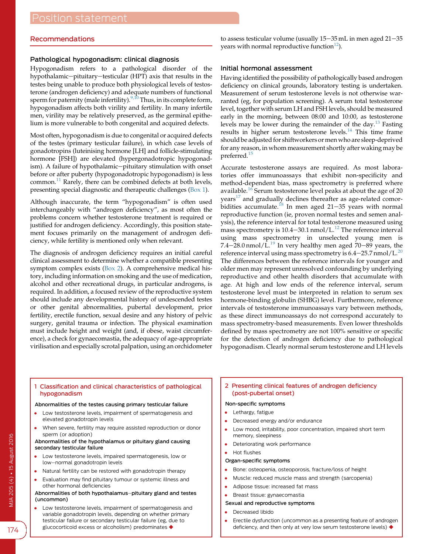## <span id="page-1-0"></span>Recommendations

## Pathological hypogonadism: clinical diagnosis

Hypogonadism refers to a pathological disorder of the hypothalamic-pituitary-testicular (HPT) axis that results in the testes being unable to produce both physiological levels of testosterone (androgen deficiency) and adequate numbers of functional sperm for paternity (male infertility).<sup>[9,10](#page-5-0)</sup> Thus, in its complete form, hypogonadism affects both virility and fertility. In many infertile men, virility may be relatively preserved, as the germinal epithelium is more vulnerable to both congenital and acquired defects.

Most often, hypogonadism is due to congenital or acquired defects of the testes (primary testicular failure), in which case levels of gonadotropins (luteinising hormone [LH] and follicle-stimulating hormone [FSH]) are elevated (hypergonadotropic hypogonadism). A failure of hypothalamic-pituitary stimulation with onset before or after puberty (hypogonadotropic hypogonadism) is less common[.11](#page-5-0) Rarely, there can be combined defects at both levels, presenting special diagnostic and therapeutic challenges (Box 1).

Although inaccurate, the term "hypogonadism" is often used interchangeably with "androgen deficiency", as most often the problems concern whether testosterone treatment is required or justified for androgen deficiency. Accordingly, this position statement focuses primarily on the management of androgen deficiency, while fertility is mentioned only when relevant.

The diagnosis of androgen deficiency requires an initial careful clinical assessment to determine whether a compatible presenting symptom complex exists (Box 2). A comprehensive medical history, including information on smoking and the use of medication, alcohol and other recreational drugs, in particular androgens, is required. In addition, a focused review of the reproductive system should include any developmental history of undescended testes or other genital abnormalities, pubertal development, prior fertility, erectile function, sexual desire and any history of pelvic surgery, genital trauma or infection. The physical examination must include height and weight (and, if obese, waist circumference), a check for gynaecomastia, the adequacy of age-appropriate virilisation and especially scrotal palpation, using an orchidometer

to assess testicular volume (usually  $15-35$  mL in men aged  $21-35$ years with normal reproductive function<sup>12</sup>).

## Initial hormonal assessment

Having identified the possibility of pathologically based androgen deficiency on clinical grounds, laboratory testing is undertaken. Measurement of serum testosterone levels is not otherwise warranted (eg, for population screening). A serum total testosterone level, together with serum LH and FSH levels, should be measured early in the morning, between 08:00 and 10:00, as testosterone levels may be lower during the remainder of the day[.13](#page-5-0) Fasting results in higher serum testosterone levels.[14](#page-5-0) This time frame should be adjusted for shiftworkers or men who are sleep-deprived for any reason, in whom measurement shortly after waking may be preferred.[15](#page-5-0)

Accurate testosterone assays are required. As most laboratories offer immunoassays that exhibit non-specificity and method-dependent bias, mass spectrometry is preferred where available.<sup>[16](#page-5-0)</sup> Serum testosterone level peaks at about the age of 20 years<sup>[17](#page-5-0)</sup> and gradually declines thereafter as age-related comor-bidities accumulate.<sup>[18](#page-5-0)</sup> In men aged 21-35 years with normal reproductive function (ie, proven normal testes and semen analysis), the reference interval for total testosterone measured using mass spectrometry is  $10.4-30.1$  nmol/L.<sup>[12](#page-5-0)</sup> The reference interval using mass spectrometry in unselected young men is 7.4–28.0 nmol/L.<sup>[19](#page-5-0)</sup> In very healthy men aged 70–89 years, the reference interval using mass spectrometry is  $6.4-25.7$  nmol/L.<sup>[20](#page-5-0)</sup> The differences between the reference intervals for younger and older men may represent unresolved confounding by underlying reproductive and other health disorders that accumulate with age. At high and low ends of the reference interval, serum testosterone level must be interpreted in relation to serum sex hormone-binding globulin (SHBG) level. Furthermore, reference intervals of testosterone immunoassays vary between methods, as these direct immunoassays do not correspond accurately to mass spectrometry-based measurements. Even lower thresholds defined by mass spectrometry are not 100% sensitive or specific for the detection of androgen deficiency due to pathological hypogonadism. Clearly normal serum testosterone and LH levels

1 Classification and clinical characteristics of pathological hypogonadism

#### Abnormalities of the testes causing primary testicular failure

- Low testosterone levels, impairment of spermatogenesis and elevated gonadotropin levels
- When severe, fertility may require assisted reproduction or donor sperm (or adoption)

#### Abnormalities of the hypothalamus or pituitary gland causing secondary testicular failure

- Low testosterone levels, impaired spermatogenesis, low or low-normal gonadotropin levels
- Natural fertility can be restored with gonadotropin therapy
- Evaluation may find pituitary tumour or systemic illness and other hormonal deficiencies

#### Abnormalities of both hypothalamus-pituitary gland and testes (uncommon)

 Low testosterone levels, impairment of spermatogenesis and variable gonadotropin levels, depending on whether primary testicular failure or secondary testicular failure (eg, due to glucocorticoid excess or alcoholism) predominates  $\blacklozenge$ 

## 2 Presenting clinical features of androgen deficiency (post-pubertal onset)

#### Non-specific symptoms

- Lethargy, fatigue
- Decreased energy and/or endurance
- Low mood, irritability, poor concentration, impaired short term memory, sleepiness
- Deteriorating work performance
- Hot flushes

#### Organ-specific symptoms

- Bone: osteopenia, osteoporosis, fracture/loss of height
- Muscle: reduced muscle mass and strength (sarcopenia)
- Adipose tissue: increased fat mass
- Breast tissue: gynaecomastia
- Sexual and reproductive symptoms
- Decreased libido
- Erectile dysfunction (uncommon as a presenting feature of androgen deficiency, and then only at very low serum testosterone levels)  $\blacklozenge$

174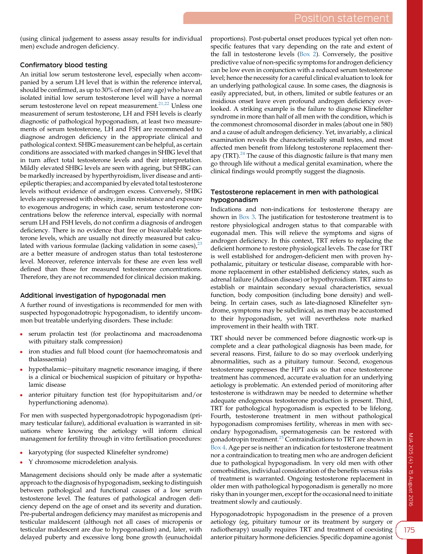(using clinical judgement to assess assay results for individual men) exclude androgen deficiency.

## Confirmatory blood testing

An initial low serum testosterone level, especially when accompanied by a serum LH level that is within the reference interval, should be confirmed, as up to 30% of men (of any age) who have an isolated initial low serum testosterone level will have a normal serum testosterone level on repeat measurement.<sup>[21,22](#page-5-0)</sup> Unless one measurement of serum testosterone, LH and FSH levels is clearly diagnostic of pathological hypogonadism, at least two measurements of serum testosterone, LH and FSH are recommended to diagnose androgen deficiency in the appropriate clinical and pathological context. SHBG measurement can be helpful, as certain conditions are associated with marked changes in SHBG level that in turn affect total testosterone levels and their interpretation. Mildly elevated SHBG levels are seen with ageing, but SHBG can be markedly increased by hyperthyroidism, liver disease and antiepileptic therapies; and accompanied by elevated total testosterone levels without evidence of androgen excess. Conversely, SHBG levels are suppressed with obesity, insulin resistance and exposure to exogenous androgens; in which case, serum testosterone concentrations below the reference interval, especially with normal serum LH and FSH levels, do not confirm a diagnosis of androgen deficiency. There is no evidence that free or bioavailable testosterone levels, which are usually not directly measured but calculated with various formulae (lacking validation in some cases), $^{23}$  $^{23}$  $^{23}$ are a better measure of androgen status than total testosterone level. Moreover, reference intervals for these are even less well defined than those for measured testosterone concentrations. Therefore, they are not recommended for clinical decision making.

## Additional investigation of hypogonadal men

A further round of investigations is recommended for men with suspected hypogonadotropic hypogonadism, to identify uncommon but treatable underlying disorders. These include:

- serum prolactin test (for prolactinoma and macroadenoma with pituitary stalk compression)
- iron studies and full blood count (for haemochromatosis and thalassaemia)
- hypothalamic-pituitary magnetic resonance imaging, if there is a clinical or biochemical suspicion of pituitary or hypothalamic disease
- anterior pituitary function test (for hypopituitarism and/or hyperfunctioning adenoma).

For men with suspected hypergonadotropic hypogonadism (primary testicular failure), additional evaluation is warranted in situations where knowing the aetiology will inform clinical management for fertility through in vitro fertilisation procedures:

- karyotyping (for suspected Klinefelter syndrome)
- Y chromosome microdeletion analysis.

Management decisions should only be made after a systematic approach to the diagnosis of hypogonadism, seeking to distinguish between pathological and functional causes of a low serum testosterone level. The features of pathological androgen deficiency depend on the age of onset and its severity and duration. Pre-pubertal androgen deficiency may manifest as micropenis and testicular maldescent (although not all cases of micropenis or testicular maldescent are due to hypogonadism) and, later, with delayed puberty and excessive long bone growth (eunuchoidal

proportions). Post-pubertal onset produces typical yet often nonspecific features that vary depending on the rate and extent of the fall in testosterone levels ([Box 2](#page-1-0)). Conversely, the positive predictive value of non-specific symptoms for androgen deficiency can be low even in conjunction with a reduced serum testosterone level; hence the necessity for a careful clinical evaluation to look for an underlying pathological cause. In some cases, the diagnosis is easily appreciated, but, in others, limited or subtle features or an insidious onset leave even profound androgen deficiency overlooked. A striking example is the failure to diagnose Klinefelter syndrome in more than half of all men with the condition, which is the commonest chromosomal disorder in males (about one in 580) and a cause of adult androgen deficiency. Yet, invariably, a clinical examination reveals the characteristically small testes, and most affected men benefit from lifelong testosterone replacement therapy (TRT). $^{24}$  $^{24}$  $^{24}$  The cause of this diagnostic failure is that many men go through life without a medical genital examination, where the clinical findings would promptly suggest the diagnosis.

## Testosterone replacement in men with pathological hypogonadism

Indications and non-indications for testosterone therapy are shown in [Box 3.](#page-3-0) The justification for testosterone treatment is to restore physiological androgen status to that comparable with eugonadal men. This will relieve the symptoms and signs of androgen deficiency. In this context, TRT refers to replacing the deficient hormone to restore physiological levels. The case for TRT is well established for androgen-deficient men with proven hypothalamic, pituitary or testicular disease, comparable with hormone replacement in other established deficiency states, such as adrenal failure (Addison disease) or hypothyroidism. TRT aims to establish or maintain secondary sexual characteristics, sexual function, body composition (including bone density) and wellbeing. In certain cases, such as late-diagnosed Klinefelter syndrome, symptoms may be subclinical, as men may be accustomed to their hypogonadism, yet will nevertheless note marked improvement in their health with TRT.

TRT should never be commenced before diagnostic work-up is complete and a clear pathological diagnosis has been made, for several reasons. First, failure to do so may overlook underlying abnormalities, such as a pituitary tumour. Second, exogenous testosterone suppresses the HPT axis so that once testosterone treatment has commenced, accurate evaluation for an underlying aetiology is problematic. An extended period of monitoring after testosterone is withdrawn may be needed to determine whether adequate endogenous testosterone production is present. Third, TRT for pathological hypogonadism is expected to be lifelong. Fourth, testosterone treatment in men without pathological hypogonadism compromises fertility, whereas in men with secondary hypogonadism, spermatogenesis can be restored with gonadotropin treatment.<sup>[25](#page-5-0)</sup> Contraindications to TRT are shown in [Box 4.](#page-3-0) Age per se is neither an indication for testosterone treatment nor a contraindication to treating men who are androgen deficient due to pathological hypogonadism. In very old men with other comorbidities, individual consideration of the benefits versus risks of treatment is warranted. Ongoing testosterone replacement in older men with pathological hypogonadism is generally no more risky than in younger men, except for the occasional need to initiate treatment slowly and cautiously.

Hypogonadotropic hypogonadism in the presence of a proven aetiology (eg, pituitary tumour or its treatment by surgery or radiotherapy) usually requires TRT and treatment of coexisting anterior pituitary hormone deficiencies. Specific dopamine agonist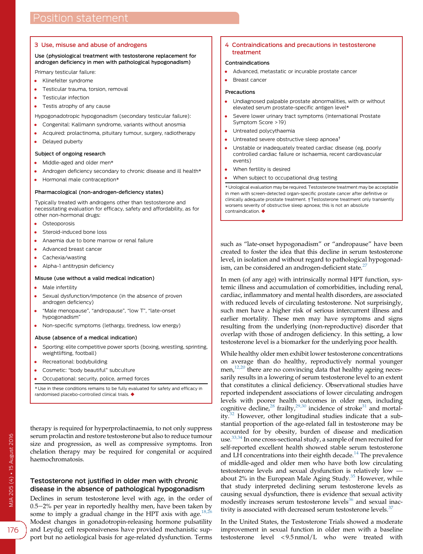#### <span id="page-3-0"></span>3 Use, misuse and abuse of androgens

#### Use (physiological treatment with testosterone replacement for androgen deficiency in men with pathological hypogonadism)

Primary testicular failure:

- Klinefelter syndrome
- Testicular trauma, torsion, removal
- Testicular infection
- Testis atrophy of any cause

Hypogonadotropic hypogonadism (secondary testicular failure):

- Congenital: Kallmann syndrome, variants without anosmia
- Acquired: prolactinoma, pituitary tumour, surgery, radiotherapy
- Delayed puberty

#### Subject of ongoing research

- Middle-aged and older men\*
- Androgen deficiency secondary to chronic disease and ill health\*
- Hormonal male contraception\*

#### Pharmacological (non-androgen-deficiency states)

Typically treated with androgens other than testosterone and necessitating evaluation for efficacy, safety and affordability, as for other non-hormonal drugs:

- Osteoporosis
- Steroid-induced bone loss
- Anaemia due to bone marrow or renal failure
- Advanced breast cancer
- Cachexia/wasting
- Alpha-1 antitrypsin deficiency

#### Misuse (use without a valid medical indication)

- Male infertility
- Sexual dysfunction/impotence (in the absence of proven androgen deficiency)
- "Male menopause", "andropause", "low T", "late-onset hypogonadism"
- Non-specific symptoms (lethargy, tiredness, low energy)

#### Abuse (absence of a medical indication)

- Sporting: elite competitive power sports (boxing, wrestling, sprinting, weightlifting, football)
- Recreational: bodybuilding
- Cosmetic: "body beautiful" subculture
- Occupational: security, police, armed forces

\* Use in these conditions remains to be fully evaluated for safety and efficacy in randomised placebo-controlled clinical trials.  $\blacklozenge$ 

therapy is required for hyperprolactinaemia, to not only suppress serum prolactin and restore testosterone but also to reduce tumour size and progression, as well as compressive symptoms. Iron chelation therapy may be required for congenital or acquired haemochromatosis.

## Testosterone not justified in older men with chronic disease in the absence of pathological hypogonadism

Declines in serum testosterone level with age, in the order of 0.5–2% per year in reportedly healthy men, have been taken by some to imply a gradual change in the HPT axis with age.<sup>[18,26](#page-5-0)</sup> Modest changes in gonadotropin-releasing hormone pulsatility and Leydig cell responsiveness have provided mechanistic support but no aetiological basis for age-related dysfunction. Terms

#### 4 Contraindications and precautions in testosterone treatment

## Contraindications

- Advanced, metastatic or incurable prostate cancer
- Breast cancer

#### Precautions

- Undiagnosed palpable prostate abnormalities, with or without elevated serum prostate-specific antigen level\*
- Severe lower urinary tract symptoms (International Prostate Symptom Score > 19)
- Untreated polycythaemia
- Untreated severe obstructive sleep apnoea†
- Unstable or inadequately treated cardiac disease (eg, poorly controlled cardiac failure or ischaemia, recent cardiovascular events)
- When fertility is desired
- When subject to occupational drug testing

\* Urological evaluation may be required. Testosterone treatment may be acceptable in men with screen-detected organ-specific prostate cancer after definitive or clinically adequate prostate treatment. †Testosterone treatment only transiently worsens severity of obstructive sleep apnoea; this is not an absolute  $contraindication.$ 

such as "late-onset hypogonadism" or "andropause" have been created to foster the idea that this decline in serum testosterone level, in isolation and without regard to pathological hypogonadism, can be considered an androgen-deficient state. $27$ 

In men (of any age) with intrinsically normal HPT function, systemic illness and accumulation of comorbidities, including renal, cardiac, inflammatory and mental health disorders, are associated with reduced levels of circulating testosterone. Not surprisingly, such men have a higher risk of serious intercurrent illness and earlier mortality. These men may have symptoms and signs resulting from the underlying (non-reproductive) disorder that overlap with those of androgen deficiency. In this setting, a low testosterone level is a biomarker for the underlying poor health.

While healthy older men exhibit lower testosterone concentrations on average than do healthy, reproductively normal younger men,<sup>[12,20](#page-5-0)</sup> there are no convincing data that healthy ageing necessarily results in a lowering of serum testosterone level to an extent that constitutes a clinical deficiency. Observational studies have reported independent associations of lower circulating androgen levels with poorer health outcomes in older men, including cognitive decline,<sup>[28](#page-5-0)</sup> frailty,<sup>[29,30](#page-5-0)</sup> incidence of stroke<sup>[31](#page-5-0)</sup> and mortality.<sup>32</sup> However, other longitudinal studies indicate that a substantial proportion of the age-related fall in testosterone may be accounted for by obesity, burden of disease and medication use[.33,34](#page-5-0) In one cross-sectional study, a sample of men recruited for self-reported excellent health showed stable serum testosterone and LH concentrations into their eighth decade.<sup>[14](#page-5-0)</sup> The prevalence of middle-aged and older men who have both low circulating testosterone levels and sexual dysfunction is relatively low about 2% in the European Male Aging Study. $35$  However, while that study interpreted declining serum testosterone levels as causing sexual dysfunction, there is evidence that sexual activity modestly increases serum testosterone levels $36$  and sexual inac-tivity is associated with decreased serum testosterone levels.<sup>[37](#page-5-0)</sup>

In the United States, the Testosterone Trials showed a moderate improvement in sexual function in older men with a baseline testosterone level < 9.5 nmol/L who were treated with

176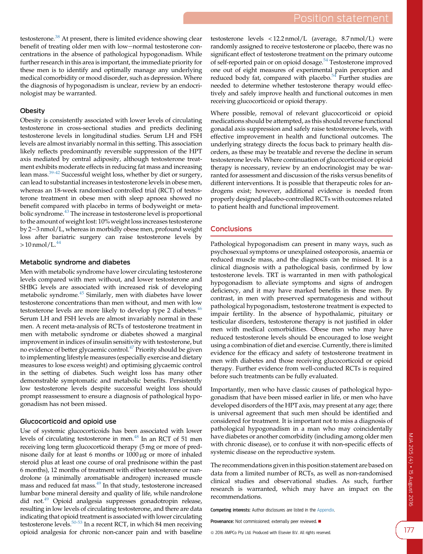testosterone.<sup>[38](#page-5-0)</sup> At present, there is limited evidence showing clear benefit of treating older men with low-normal testosterone concentrations in the absence of pathological hypogonadism. While further research in this area is important, the immediate priority for these men is to identify and optimally manage any underlying medical comorbidity or mood disorder, such as depression. Where the diagnosis of hypogonadism is unclear, review by an endocrinologist may be warranted.

## **Obesity**

Obesity is consistently associated with lower levels of circulating testosterone in cross-sectional studies and predicts declining testosterone levels in longitudinal studies. Serum LH and FSH levels are almost invariably normal in this setting. This association likely reflects predominantly reversible suppression of the HPT axis mediated by central adiposity, although testosterone treatment exhibits moderate effects in reducing fat mass and increasing lean mass.[39-42](#page-5-0) Successful weight loss, whether by diet or surgery, can lead to substantial increases in testosterone levels in obese men, whereas an 18-week randomised controlled trial (RCT) of testosterone treatment in obese men with sleep apnoea showed no benefit compared with placebo in terms of bodyweight or metabolic syndrome.[43](#page-5-0) The increase in testosterone level is proportional to the amount of weight lost: 10% weight loss increases testosterone by 2-3 nmol/L, whereas in morbidly obese men, profound weight loss after bariatric surgery can raise testosterone levels by  $> 10$  nmol/L.<sup>[44](#page-5-0)</sup>

## Metabolic syndrome and diabetes

Men with metabolic syndrome have lower circulating testosterone levels compared with men without, and lower testosterone and SHBG levels are associated with increased risk of developing metabolic syndrome.[45](#page-5-0) Similarly, men with diabetes have lower testosterone concentrations than men without, and men with low testosterone levels are more likely to develop type 2 diabetes. $46$ Serum LH and FSH levels are almost invariably normal in these men. A recent meta-analysis of RCTs of testosterone treatment in men with metabolic syndrome or diabetes showed a marginal improvement in indices of insulin sensitivity with testosterone, but no evidence of better glycaemic control.[47](#page-5-0) Priority should be given to implementing lifestyle measures (especially exercise and dietary measures to lose excess weight) and optimising glycaemic control in the setting of diabetes. Such weight loss has many other demonstrable symptomatic and metabolic benefits. Persistently low testosterone levels despite successful weight loss should prompt reassessment to ensure a diagnosis of pathological hypogonadism has not been missed.

## Glucocorticoid and opioid use

Use of systemic glucocorticoids has been associated with lower levels of circulating testosterone in men.<sup>[48](#page-5-0)</sup> In an RCT of 51 men receiving long term glucocorticoid therapy (5 mg or more of prednisone daily for at least 6 months or 1000 µg or more of inhaled steroid plus at least one course of oral prednisone within the past 6 months), 12 months of treatment with either testosterone or nandrolone (a minimally aromatisable androgen) increased muscle mass and reduced fat mass.<sup>[49](#page-5-0)</sup> In that study, testosterone increased lumbar bone mineral density and quality of life, while nandrolone did not[.49](#page-5-0) Opioid analgesia suppresses gonadotropin release, resulting in low levels of circulating testosterone, and there are data indicating that opioid treatment is associated with lower circulating testosterone levels.<sup>[50-53](#page-5-0)</sup> In a recent RCT, in which 84 men receiving opioid analgesia for chronic non-cancer pain and with baseline

testosterone levels < 12.2 nmol/L (average, 8.7 nmol/L) were randomly assigned to receive testosterone or placebo, there was no significant effect of testosterone treatment on the primary outcome of self-reported pain or on opioid dosage.<sup>54</sup> Testosterone improved one out of eight measures of experimental pain perception and reduced body fat, compared with placebo.<sup>54</sup> Further studies are needed to determine whether testosterone therapy would effectively and safely improve health and functional outcomes in men receiving glucocorticoid or opioid therapy.

Where possible, removal of relevant glucocorticoid or opioid medications should be attempted, as this should reverse functional gonadal axis suppression and safely raise testosterone levels, with effective improvement in health and functional outcomes. The underlying strategy directs the focus back to primary health disorders, as these may be treatable and reverse the decline in serum testosterone levels. Where continuation of glucocorticoid or opioid therapy is necessary, review by an endocrinologist may be warranted for assessment and discussion of the risks versus benefits of different interventions. It is possible that therapeutic roles for androgens exist; however, additional evidence is needed from properly designed placebo-controlled RCTs with outcomes related to patient health and functional improvement.

## **Conclusions**

Pathological hypogonadism can present in many ways, such as psychosexual symptoms or unexplained osteoporosis, anaemia or reduced muscle mass, and the diagnosis can be missed. It is a clinical diagnosis with a pathological basis, confirmed by low testosterone levels. TRT is warranted in men with pathological hypogonadism to alleviate symptoms and signs of androgen deficiency, and it may have marked benefits in these men. By contrast, in men with preserved spermatogenesis and without pathological hypogonadism, testosterone treatment is expected to impair fertility. In the absence of hypothalamic, pituitary or testicular disorders, testosterone therapy is not justified in older men with medical comorbidities. Obese men who may have reduced testosterone levels should be encouraged to lose weight using a combination of diet and exercise. Currently, there is limited evidence for the efficacy and safety of testosterone treatment in men with diabetes and those receiving glucocorticoid or opioid therapy. Further evidence from well-conducted RCTs is required before such treatments can be fully evaluated.

Importantly, men who have classic causes of pathological hypogonadism that have been missed earlier in life, or men who have developed disorders of the HPT axis, may present at any age; there is universal agreement that such men should be identified and considered for treatment. It is important not to miss a diagnosis of pathological hypogonadism in a man who may coincidentally have diabetes or another comorbidity (including among older men with chronic disease), or to confuse it with non-specific effects of systemic disease on the reproductive system.

The recommendations given in this position statement are based on data from a limited number of RCTs, as well as non-randomised clinical studies and observational studies. As such, further research is warranted, which may have an impact on the recommendations.

Competing interests: Author disclosures are listed in the [Appendix](https://www.mja.com.au/sites/default/files/issues/205_04/10.5694mja16.00393_Appendix.pdf).

Provenance: Not commissioned; externally peer reviewed.  $\blacksquare$